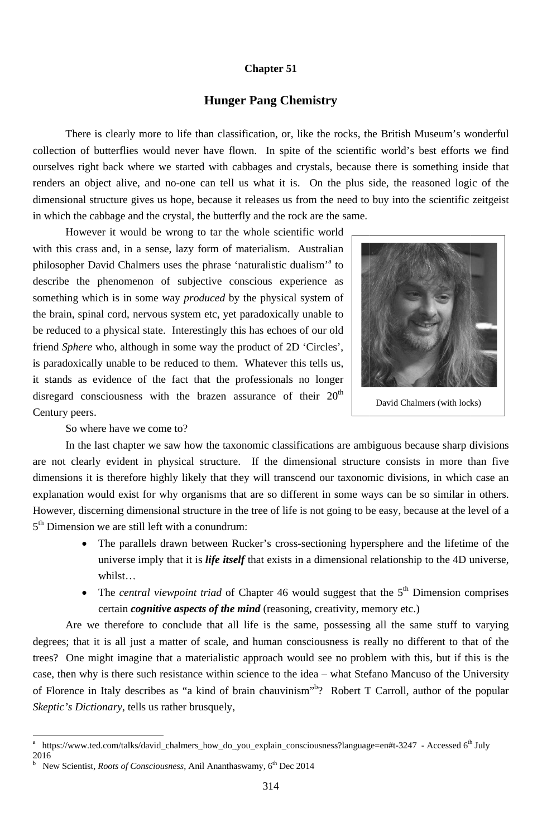#### **Chapter 51**

## **Hunger Pang Chemistry**

There is clearly more to life than classification, or, like the rocks, the British Museum's wonderful collection of butterflies would never have flown. In spite of the scientific world's best efforts we find ourselves right back where we started with cabbages and crystals, because there is something inside that renders an object alive, and no-one can tell us what it is. On the plus side, the reasoned logic of the dimensional structure gives us hope, because it releases us from the need to buy into the scientific zeitgeist in which the cabbage and the crystal, the butterfly and the rock are the same.

However it would be wrong to tar the whole scientific world with this crass and, in a sense, lazy form of materialism. Australian philosopher David Chalmers uses the phrase 'naturalistic dualism'<sup>a</sup> to describe the phenomenon of subjective conscious experience as something which is in some way *produced* by the physical system of the brain, spinal cord, nervous system etc, yet paradoxically unable to be reduced to a physical state. Interestingly this has echoes of our old friend Sphere who, although in some way the product of 2D 'Circles', is paradoxically unable to be reduced to them. Whatever this tells us, it stands as evidence of the fact that the professionals no longer disregard consciousness with the brazen assurance of their 20<sup>th</sup> Century peers.



David Chalmers (with locks)

So where have we come to?

In the last chapter we saw how the taxonomic classifications are ambiguous because sharp divisions are not clearly evident in physical structure. If the dimensional structure consists in more than five dimensions it is therefore highly likely that they will transcend our taxonomic divisions, in which case an explanation would exist for why organisms that are so different in some ways can be so similar in others. However, discerning dimensional structure in the tree of life is not going to be easy, because at the level of a 5<sup>th</sup> Dimension we are still left with a conundrum:

- The parallels drawn between Rucker's cross-sectioning hypersphere and the lifetime of the  $\bullet$ universe imply that it is *life itself* that exists in a dimensional relationship to the 4D universe, whilst...
- The central viewpoint triad of Chapter 46 would suggest that the 5<sup>th</sup> Dimension comprises certain *cognitive aspects of the mind* (reasoning, creativity, memory etc.)

Are we therefore to conclude that all life is the same, possessing all the same stuff to varying degrees; that it is all just a matter of scale, and human consciousness is really no different to that of the trees? One might imagine that a materialistic approach would see no problem with this, but if this is the case, then why is there such resistance within science to the idea - what Stefano Mancuso of the University of Florence in Italy describes as "a kind of brain chauvinism"<sup>b</sup>? Robert T Carroll, author of the popular Skeptic's Dictionary, tells us rather brusquely,

New Scientist, Roots of Consciousness, Anil Ananthaswamy, 6<sup>th</sup> Dec 2014  $\mathbf b$ 

314

https://www.ted.com/talks/david\_chalmers\_how\_do\_you\_explain\_consciousness?language=en#t-3247 - Accessed 6<sup>th</sup> July  $\mathbf{a}$ 2016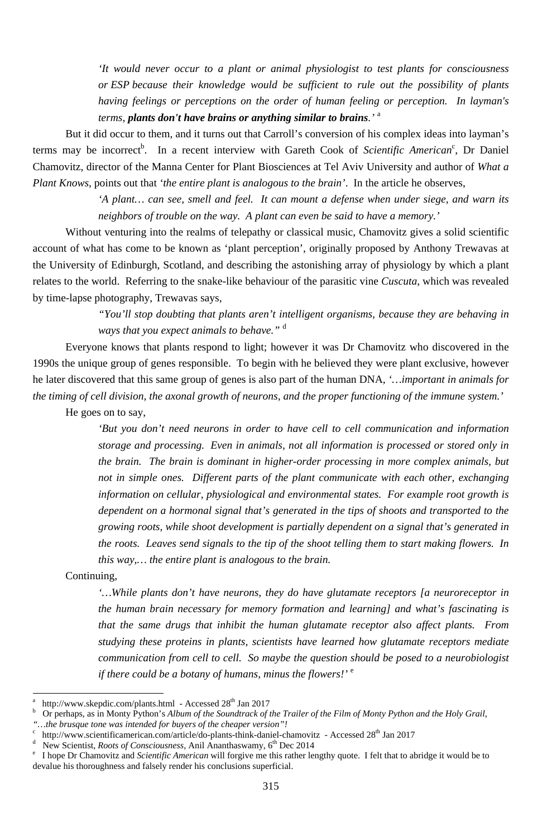*'It would never occur to a plant or animal physiologist to test plants for consciousness or ESP because their knowledge would be sufficient to rule out the possibility of plants having feelings or perceptions on the order of human feeling or perception. In layman's terms, plants don't have brains or anything similar to brains.'* <sup>a</sup>

But it did occur to them, and it turns out that Carroll's conversion of his complex ideas into layman's terms may be incorrect<sup>b</sup>. In a recent interview with Gareth Cook of *Scientific American*<sup>c</sup>, Dr Daniel Chamovitz, director of the Manna Center for Plant Biosciences at Tel Aviv University and author of *What a Plant Knows*, points out that *'the entire plant is analogous to the brain'*. In the article he observes,

> *'A plant… can see, smell and feel. It can mount a defense when under siege, and warn its neighbors of trouble on the way. A plant can even be said to have a memory.'*

Without venturing into the realms of telepathy or classical music, Chamovitz gives a solid scientific account of what has come to be known as 'plant perception', originally proposed by Anthony Trewavas at the University of Edinburgh, Scotland, and describing the astonishing array of physiology by which a plant relates to the world. Referring to the snake-like behaviour of the parasitic vine *Cuscuta*, which was revealed by time-lapse photography, Trewavas says,

> *"You'll stop doubting that plants aren't intelligent organisms, because they are behaving in ways that you expect animals to behave."* <sup>d</sup>

> *that the same drugs that inhibit the human glutamate receptor also affect plants. From studying these proteins in plants, scientists have learned how glutamate receptors mediate communication from cell to cell. So maybe the question should be posed to a neurobiologist if there could be a botany of humans, minus the flowers!'* <sup>e</sup>

Everyone knows that plants respond to light; however it was Dr Chamovitz who discovered in the 1990s the unique group of genes responsible. To begin with he believed they were plant exclusive, however he later discovered that this same group of genes is also part of the human DNA, *'…important in animals for the timing of cell division, the axonal growth of neurons, and the proper functioning of the immune system.'* 

He goes on to say,

*'But you don't need neurons in order to have cell to cell communication and information storage and processing. Even in animals, not all information is processed or stored only in the brain. The brain is dominant in higher-order processing in more complex animals, but not in simple ones. Different parts of the plant communicate with each other, exchanging information on cellular, physiological and environmental states. For example root growth is dependent on a hormonal signal that's generated in the tips of shoots and transported to the growing roots, while shoot development is partially dependent on a signal that's generated in the roots. Leaves send signals to the tip of the shoot telling them to start making flowers. In this way,… the entire plant is analogous to the brain.* 

Continuing,

<sup>-</sup>

*'…While plants don't have neurons, they do have glutamate receptors [a neuroreceptor in the human brain necessary for memory formation and learning] and what's fascinating is* 

- b Or perhaps, as in Monty Python's *Album of the Soundtrack of the Trailer of the Film of Monty Python and the Holy Grail*, *"…the brusque tone was intended for buyers of the cheaper version"!* <sup>c</sup>
- http://www.scientificamerican.com/article/do-plants-think-daniel-chamovitz Accessed 28<sup>th</sup> Jan 2017
- d <sup>d</sup> New Scientist, *Roots of Consciousness*, Anil Ananthaswamy,  $6^{th}$  Dec 2014<br><sup>e</sup> I hope Dr Chamovitz and *Scientific American* will forgive me this rather let
- I hope Dr Chamovitz and *Scientific American* will forgive me this rather lengthy quote. I felt that to abridge it would be to devalue his thoroughness and falsely render his conclusions superficial.

a http://www.skepdic.com/plants.html - Accessed 28<sup>th</sup> Jan 2017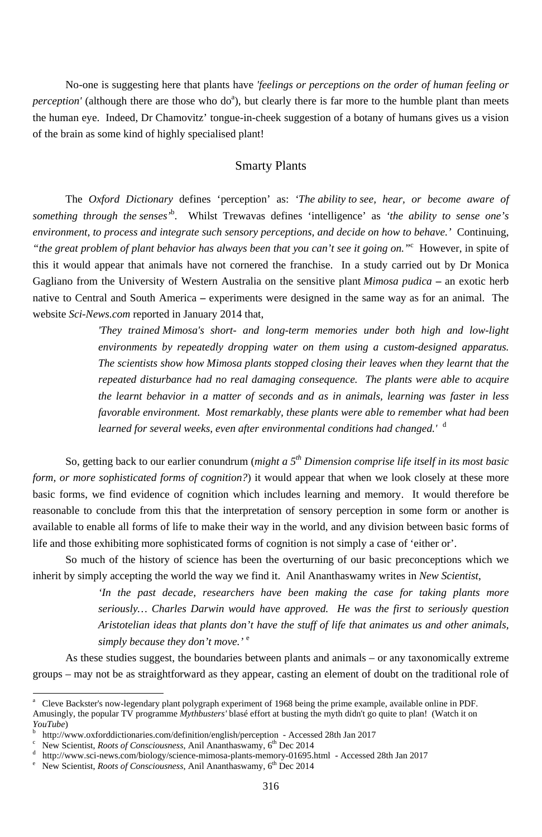No-one is suggesting here that plants have *'feelings or perceptions on the order of human feeling or perception'* (although there are those who do<sup>a</sup>), but clearly there is far more to the humble plant than meets the human eye. Indeed, Dr Chamovitz' tongue-in-cheek suggestion of a botany of humans gives us a vision of the brain as some kind of highly specialised plant!

#### Smarty Plants

The *Oxford Dictionary* defines 'perception' as: *'The ability to see, hear, or become aware of something through the senses'*<sup>b</sup> . Whilst Trewavas defines 'intelligence' as *'the ability to sense one's environment, to process and integrate such sensory perceptions, and decide on how to behave.'* Continuing, *"the great problem of plant behavior has always been that you can't see it going on."*<sup>c</sup> However, in spite of this it would appear that animals have not cornered the franchise. In a study carried out by Dr Monica Gagliano from the University of Western Australia on the sensitive plant *Mimosa pudica* **–** an exotic herb native to Central and South America **–** experiments were designed in the same way as for an animal. The website *Sci-News.com* reported in January 2014 that,

> *'In the past decade, researchers have been making the case for taking plants more seriously… Charles Darwin would have approved. He was the first to seriously question*

> *'They trained Mimosa's short- and long-term memories under both high and low-light environments by repeatedly dropping water on them using a custom-designed apparatus. The scientists show how Mimosa plants stopped closing their leaves when they learnt that the repeated disturbance had no real damaging consequence. The plants were able to acquire the learnt behavior in a matter of seconds and as in animals, learning was faster in less favorable environment. Most remarkably, these plants were able to remember what had been learned for several weeks, even after environmental conditions had changed.'* <sup>d</sup>

- b <sup>b</sup> http://www.oxforddictionaries.com/definition/english/perception - Accessed 28th Jan 2017<br><sup>c</sup> New Scientist, *Roots of Consciousness*, Apil Aparthaswamy 6<sup>th</sup> Dec 2014
- New Scientist, *Roots of Consciousness*, Anil Ananthaswamy, 6<sup>th</sup> Dec 2014

<sup>-</sup>

- d <sup>d</sup> http://www.sci-news.com/biology/science-mimosa-plants-memory-01695.html - Accessed 28th Jan 2017<br><sup>e</sup> New Scientist *Roots of Consciousness* Anil Ananthaswamy 6<sup>th</sup> Dec 2014
- New Scientist, *Roots of Consciousness*, Anil Ananthaswamy, 6<sup>th</sup> Dec 2014

So, getting back to our earlier conundrum (*might a 5th Dimension comprise life itself in its most basic form, or more sophisticated forms of cognition?*) it would appear that when we look closely at these more basic forms, we find evidence of cognition which includes learning and memory. It would therefore be reasonable to conclude from this that the interpretation of sensory perception in some form or another is available to enable all forms of life to make their way in the world, and any division between basic forms of life and those exhibiting more sophisticated forms of cognition is not simply a case of 'either or'.

So much of the history of science has been the overturning of our basic preconceptions which we inherit by simply accepting the world the way we find it. Anil Ananthaswamy writes in *New Scientist*,

> *Aristotelian ideas that plants don't have the stuff of life that animates us and other animals, simply because they don't move.'* <sup>e</sup>

As these studies suggest, the boundaries between plants and animals – or any taxonomically extreme groups – may not be as straightforward as they appear, casting an element of doubt on the traditional role of

<sup>&</sup>lt;sup>a</sup> Cleve Backster's now-legendary plant polygraph experiment of 1968 being the prime example, available online in PDF. Amusingly, the popular TV programme *Mythbusters'* blasé effort at busting the myth didn't go quite to plan! (Watch it on *YouTube*)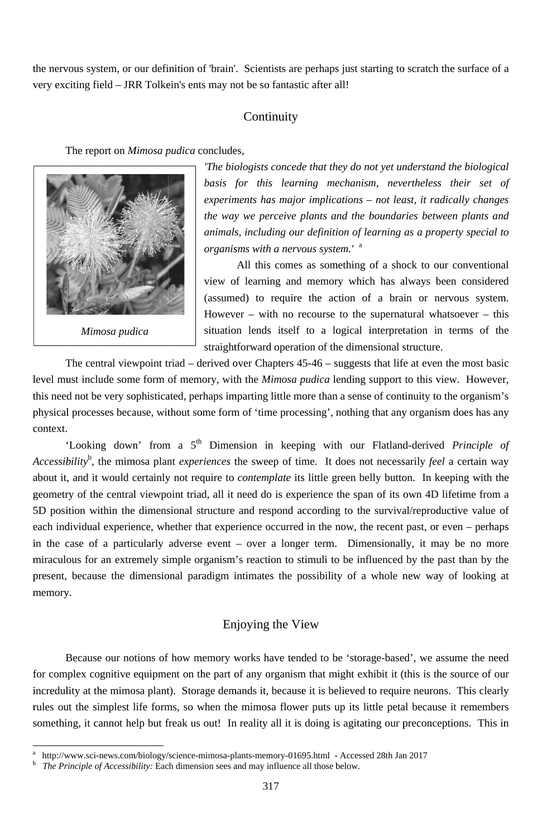the nervous system, or our definition of 'brain'. Scientists are perhaps just starting to scratch the surface of a very exciting field – JRR Tolkein's ents may not be so fantastic after all!

#### Continuity

The report on *Mimosa pudica* concludes,



Mimosa pudica

The biologists concede that they do not yet understand the biological basis for this learning mechanism, nevertheless their set of experiments has major implications – not least, it radically changes the way we perceive plants and the boundaries between plants and animals, including our definition of learning as a property special to organisms with a nervous system.' <sup>a</sup>

All this comes as something of a shock to our conventional view of learning and memory which has always been considered (assumed) to require the action of a brain or nervous system. However – with no recourse to the supernatural whatsoever – this situation lends itself to a logical interpretation in terms of the straightforward operation of the dimensional structure.

The central viewpoint triad – derived over Chapters  $45-46$  – suggests that life at even the most basic level must include some form of memory, with the *Mimosa pudica* lending support to this view. However, this need not be very sophisticated, perhaps imparting little more than a sense of continuity to the organism's physical processes because, without some form of 'time processing', nothing that any organism does has any context.

'Looking down' from a 5<sup>th</sup> Dimension in keeping with our Flatland-derived *Principle of* Accessibility<sup>b</sup>, the mimosa plant experiences the sweep of time. It does not necessarily feel a certain way about it, and it would certainly not require to contemplate its little green belly button. In keeping with the geometry of the central viewpoint triad, all it need do is experience the span of its own 4D lifetime from a 5D position within the dimensional structure and respond according to the survival/reproductive value of each individual experience, whether that experience occurred in the now, the recent past, or even - perhaps in the case of a particularly adverse event - over a longer term. Dimensionally, it may be no more miraculous for an extremely simple organism's reaction to stimuli to be influenced by the past than by the present, because the dimensional paradigm intimates the possibility of a whole new way of looking at memory.

# Enjoying the View

Because our notions of how memory works have tended to be 'storage-based', we assume the need for complex cognitive equipment on the part of any organism that might exhibit it (this is the source of our incredulity at the mimosa plant). Storage demands it, because it is believed to require neurons. This clearly rules out the simplest life forms, so when the mimosa flower puts up its little petal because it remembers something, it cannot help but freak us out! In reality all it is doing is agitating our preconceptions. This in

 $\mathbf{a}$ http://www.sci-news.com/biology/science-mimosa-plants-memory-01695.html - Accessed 28th Jan 2017

 $\mathbf b$ The Principle of Accessibility: Each dimension sees and may influence all those below.

<sup>317</sup>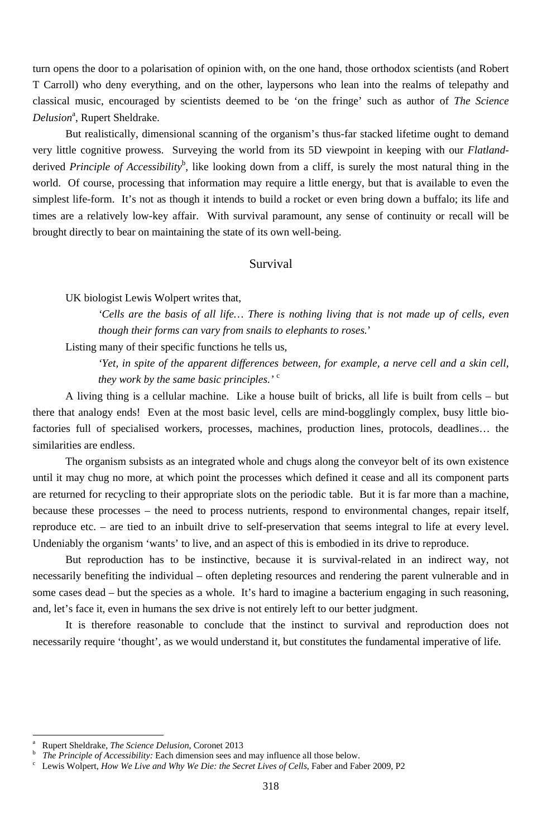turn opens the door to a polarisation of opinion with, on the one hand, those orthodox scientists (and Robert T Carroll) who deny everything, and on the other, laypersons who lean into the realms of telepathy and classical music, encouraged by scientists deemed to be 'on the fringe' such as author of *The Science*  Delusion<sup>a</sup>, Rupert Sheldrake.

But realistically, dimensional scanning of the organism's thus-far stacked lifetime ought to demand very little cognitive prowess. Surveying the world from its 5D viewpoint in keeping with our *Flatland*derived *Principle of Accessibility*<sup>b</sup>, like looking down from a cliff, is surely the most natural thing in the world. Of course, processing that information may require a little energy, but that is available to even the simplest life-form. It's not as though it intends to build a rocket or even bring down a buffalo; its life and times are a relatively low-key affair. With survival paramount, any sense of continuity or recall will be brought directly to bear on maintaining the state of its own well-being.

#### Survival

UK biologist Lewis Wolpert writes that,

*'Cells are the basis of all life… There is nothing living that is not made up of cells, even though their forms can vary from snails to elephants to roses.*'

Listing many of their specific functions he tells us,

*'Yet, in spite of the apparent differences between, for example, a nerve cell and a skin cell, they work by the same basic principles.'* <sup>c</sup>

A living thing is a cellular machine. Like a house built of bricks, all life is built from cells – but there that analogy ends! Even at the most basic level, cells are mind-bogglingly complex, busy little biofactories full of specialised workers, processes, machines, production lines, protocols, deadlines… the similarities are endless.

The organism subsists as an integrated whole and chugs along the conveyor belt of its own existence until it may chug no more, at which point the processes which defined it cease and all its component parts are returned for recycling to their appropriate slots on the periodic table. But it is far more than a machine, because these processes – the need to process nutrients, respond to environmental changes, repair itself, reproduce etc. – are tied to an inbuilt drive to self-preservation that seems integral to life at every level. Undeniably the organism 'wants' to live, and an aspect of this is embodied in its drive to reproduce.

But reproduction has to be instinctive, because it is survival-related in an indirect way, not necessarily benefiting the individual – often depleting resources and rendering the parent vulnerable and in some cases dead – but the species as a whole. It's hard to imagine a bacterium engaging in such reasoning, and, let's face it, even in humans the sex drive is not entirely left to our better judgment.

It is therefore reasonable to conclude that the instinct to survival and reproduction does not necessarily require 'thought', as we would understand it, but constitutes the fundamental imperative of life.

-

<sup>318</sup>

b *The Principle of Accessibility:* Each dimension sees and may influence all those below.

a Rupert Sheldrake, *The Science Delusion*, Coronet 2013

Lewis Wolpert, *How We Live and Why We Die: the Secret Lives of Cells*, Faber and Faber 2009, P2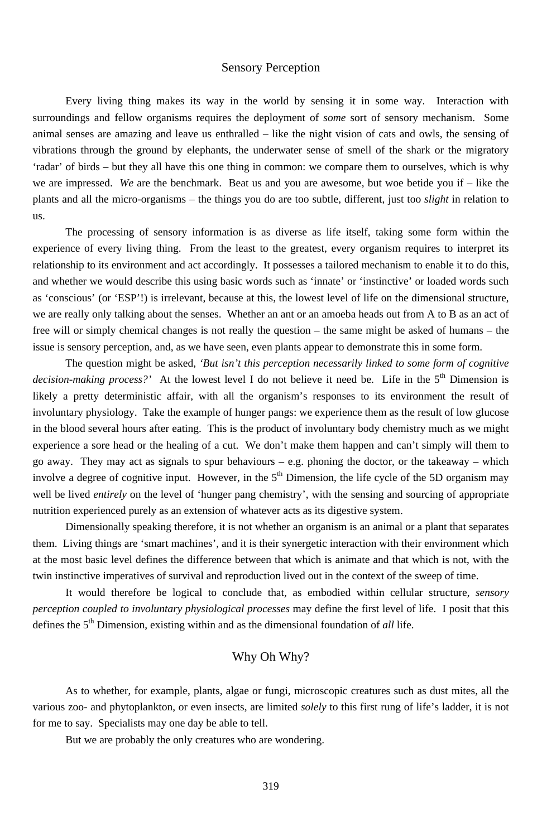### Sensory Perception

Every living thing makes its way in the world by sensing it in some way. Interaction with surroundings and fellow organisms requires the deployment of *some* sort of sensory mechanism. Some animal senses are amazing and leave us enthralled – like the night vision of cats and owls, the sensing of vibrations through the ground by elephants, the underwater sense of smell of the shark or the migratory 'radar' of birds – but they all have this one thing in common: we compare them to ourselves, which is why we are impressed. *We* are the benchmark. Beat us and you are awesome, but woe betide you if – like the plants and all the micro-organisms – the things you do are too subtle, different, just too *slight* in relation to us.

The processing of sensory information is as diverse as life itself, taking some form within the experience of every living thing. From the least to the greatest, every organism requires to interpret its relationship to its environment and act accordingly. It possesses a tailored mechanism to enable it to do this, and whether we would describe this using basic words such as 'innate' or 'instinctive' or loaded words such as 'conscious' (or 'ESP'!) is irrelevant, because at this, the lowest level of life on the dimensional structure, we are really only talking about the senses. Whether an ant or an amoeba heads out from A to B as an act of free will or simply chemical changes is not really the question – the same might be asked of humans – the issue is sensory perception, and, as we have seen, even plants appear to demonstrate this in some form.

The question might be asked, *'But isn't this perception necessarily linked to some form of cognitive*  decision-making process?' At the lowest level I do not believe it need be. Life in the 5<sup>th</sup> Dimension is likely a pretty deterministic affair, with all the organism's responses to its environment the result of involuntary physiology. Take the example of hunger pangs: we experience them as the result of low glucose in the blood several hours after eating. This is the product of involuntary body chemistry much as we might experience a sore head or the healing of a cut. We don't make them happen and can't simply will them to go away. They may act as signals to spur behaviours – e.g. phoning the doctor, or the takeaway – which involve a degree of cognitive input. However, in the  $5<sup>th</sup>$  Dimension, the life cycle of the 5D organism may well be lived *entirely* on the level of 'hunger pang chemistry', with the sensing and sourcing of appropriate nutrition experienced purely as an extension of whatever acts as its digestive system.

Dimensionally speaking therefore, it is not whether an organism is an animal or a plant that separates them. Living things are 'smart machines', and it is their synergetic interaction with their environment which at the most basic level defines the difference between that which is animate and that which is not, with the twin instinctive imperatives of survival and reproduction lived out in the context of the sweep of time.

It would therefore be logical to conclude that, as embodied within cellular structure, *sensory perception coupled to involuntary physiological processes* may define the first level of life. I posit that this

defines the 5<sup>th</sup> Dimension, existing within and as the dimensional foundation of *all* life.

# Why Oh Why?

As to whether, for example, plants, algae or fungi, microscopic creatures such as dust mites, all the various zoo- and phytoplankton, or even insects, are limited *solely* to this first rung of life's ladder, it is not for me to say. Specialists may one day be able to tell.

But we are probably the only creatures who are wondering.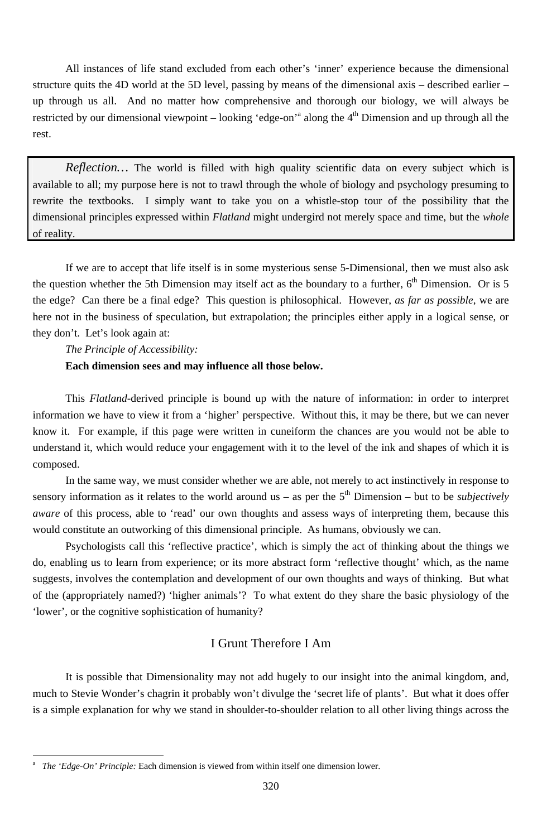All instances of life stand excluded from each other's 'inner' experience because the dimensional structure quits the 4D world at the 5D level, passing by means of the dimensional axis – described earlier – up through us all. And no matter how comprehensive and thorough our biology, we will always be restricted by our dimensional viewpoint – looking 'edge-on'<sup>a</sup> along the  $4<sup>th</sup>$  Dimension and up through all the rest.

*Reflection…* The world is filled with high quality scientific data on every subject which is available to all; my purpose here is not to trawl through the whole of biology and psychology presuming to rewrite the textbooks. I simply want to take you on a whistle-stop tour of the possibility that the dimensional principles expressed within *Flatland* might undergird not merely space and time, but the *whole* of reality.

If we are to accept that life itself is in some mysterious sense 5-Dimensional, then we must also ask the question whether the 5th Dimension may itself act as the boundary to a further,  $6<sup>th</sup>$  Dimension. Or is 5 the edge? Can there be a final edge? This question is philosophical. However, *as far as possible*, we are here not in the business of speculation, but extrapolation; the principles either apply in a logical sense, or they don't. Let's look again at:

*The Principle of Accessibility:* 

#### **Each dimension sees and may influence all those below.**

This *Flatland*-derived principle is bound up with the nature of information: in order to interpret information we have to view it from a 'higher' perspective. Without this, it may be there, but we can never know it. For example, if this page were written in cuneiform the chances are you would not be able to understand it, which would reduce your engagement with it to the level of the ink and shapes of which it is composed.

In the same way, we must consider whether we are able, not merely to act instinctively in response to sensory information as it relates to the world around us – as per the  $5<sup>th</sup>$  Dimension – but to be *subjectively aware* of this process, able to 'read' our own thoughts and assess ways of interpreting them, because this would constitute an outworking of this dimensional principle. As humans, obviously we can.

Psychologists call this 'reflective practice', which is simply the act of thinking about the things we do, enabling us to learn from experience; or its more abstract form 'reflective thought' which, as the name suggests, involves the contemplation and development of our own thoughts and ways of thinking. But what of the (appropriately named?) 'higher animals'? To what extent do they share the basic physiology of the 'lower', or the cognitive sophistication of humanity?

-

## I Grunt Therefore I Am

It is possible that Dimensionality may not add hugely to our insight into the animal kingdom, and, much to Stevie Wonder's chagrin it probably won't divulge the 'secret life of plants'. But what it does offer is a simple explanation for why we stand in shoulder-to-shoulder relation to all other living things across the

<sup>320</sup>

a *The 'Edge-On' Principle:* Each dimension is viewed from within itself one dimension lower.